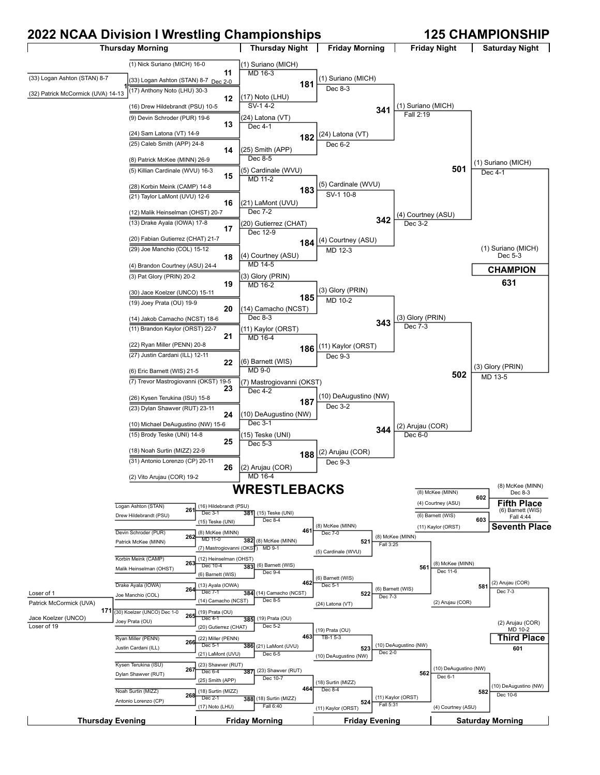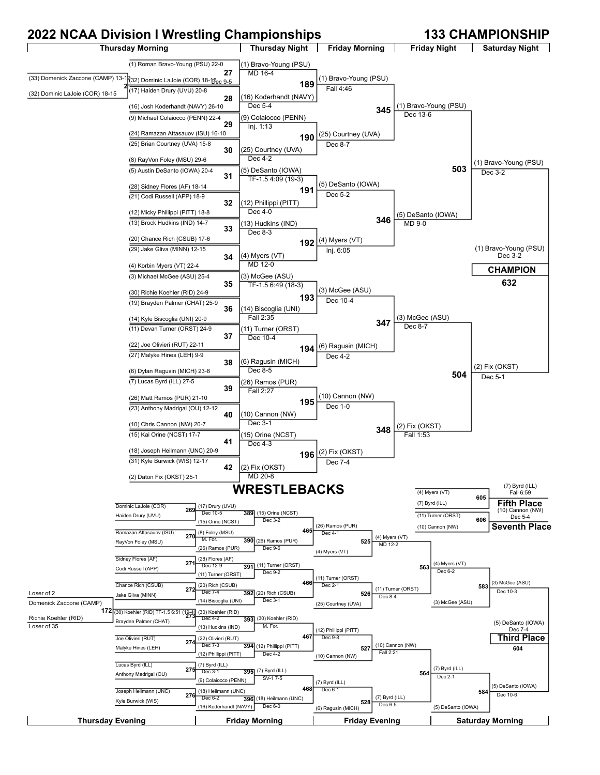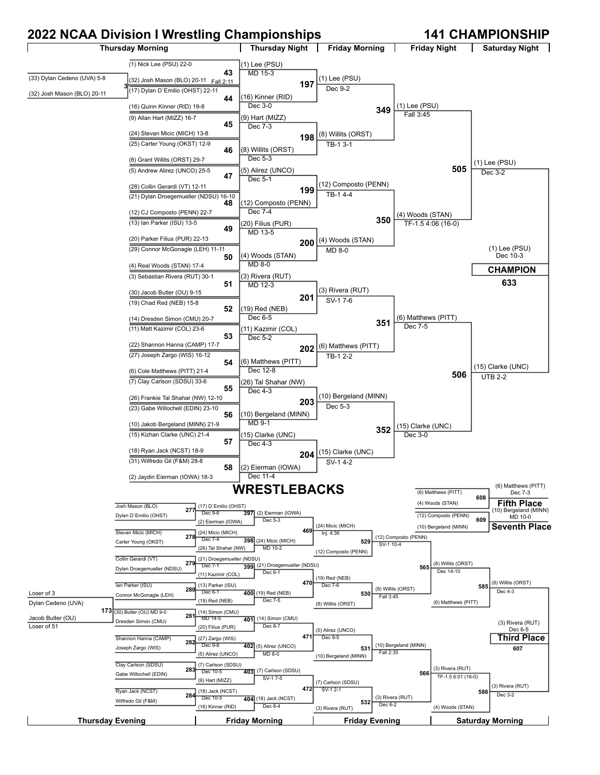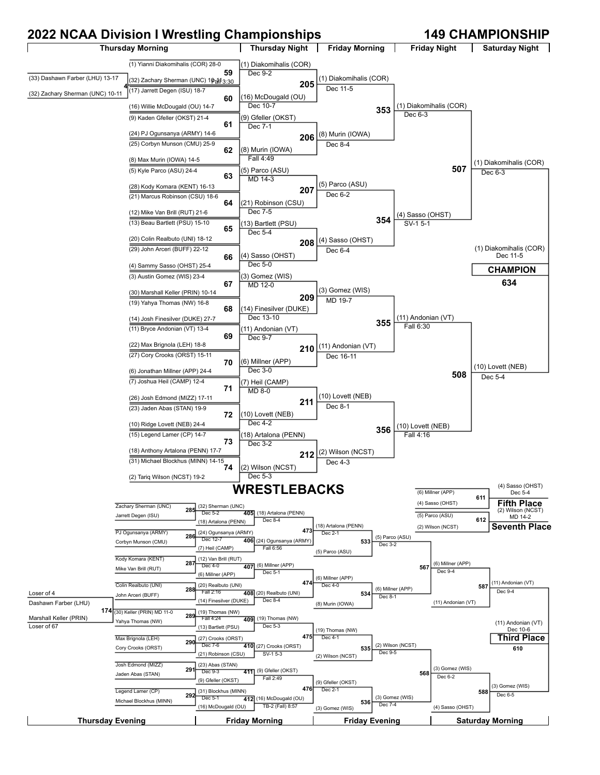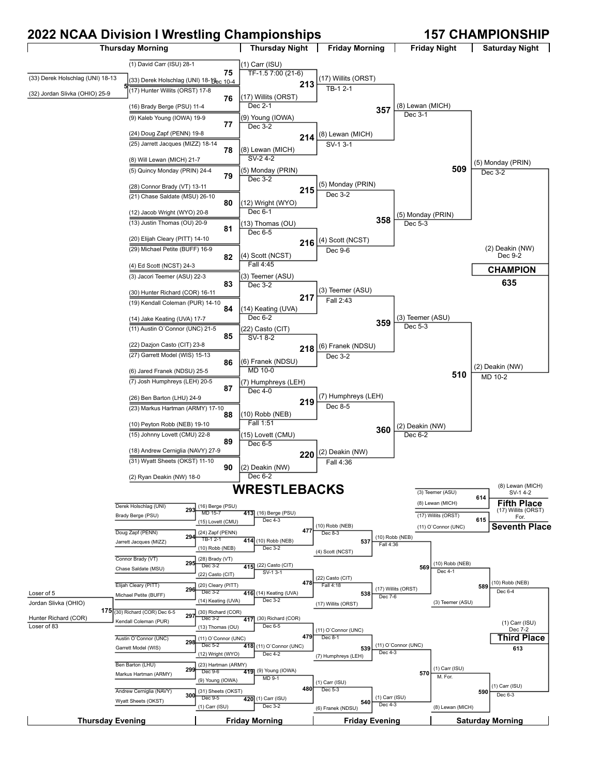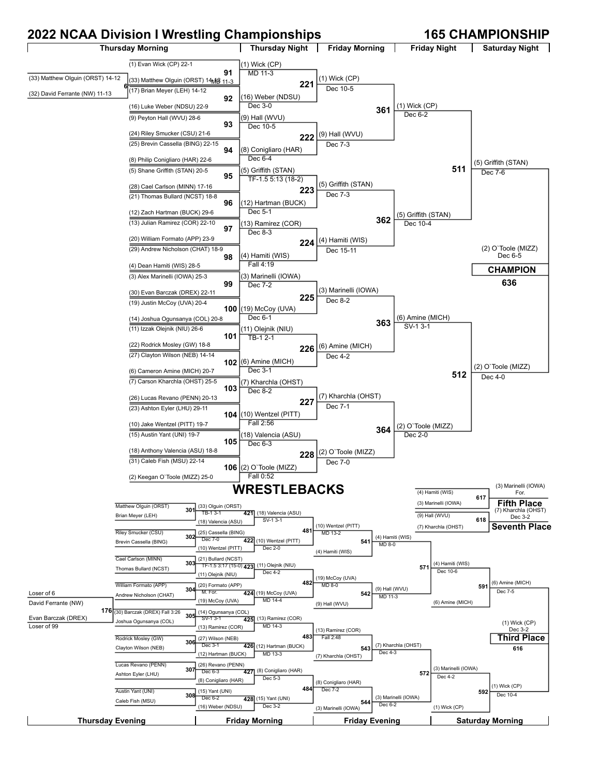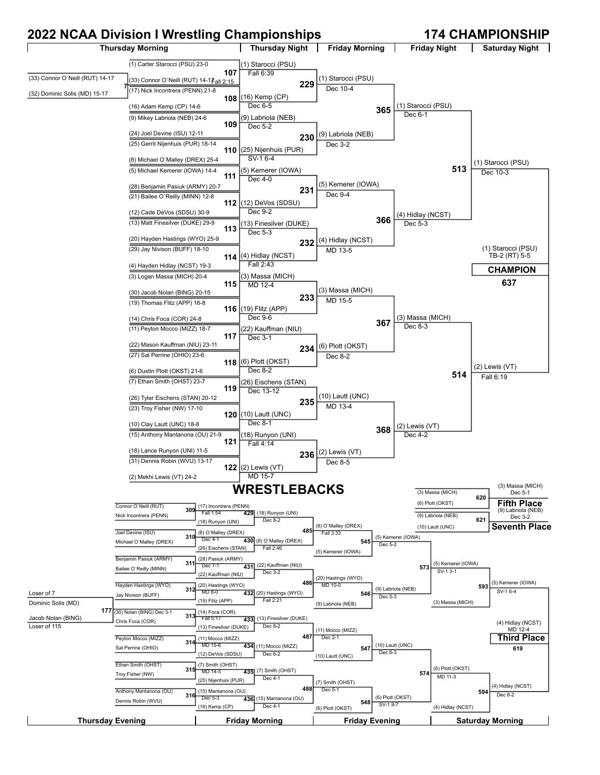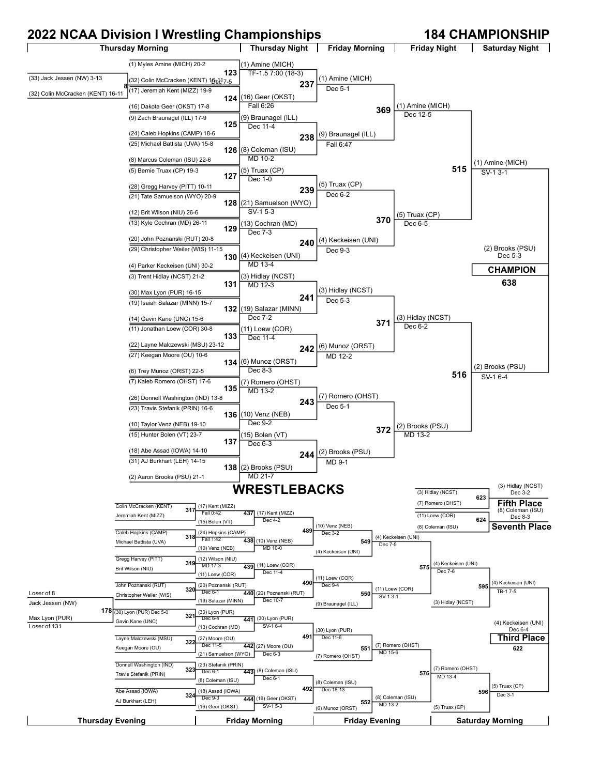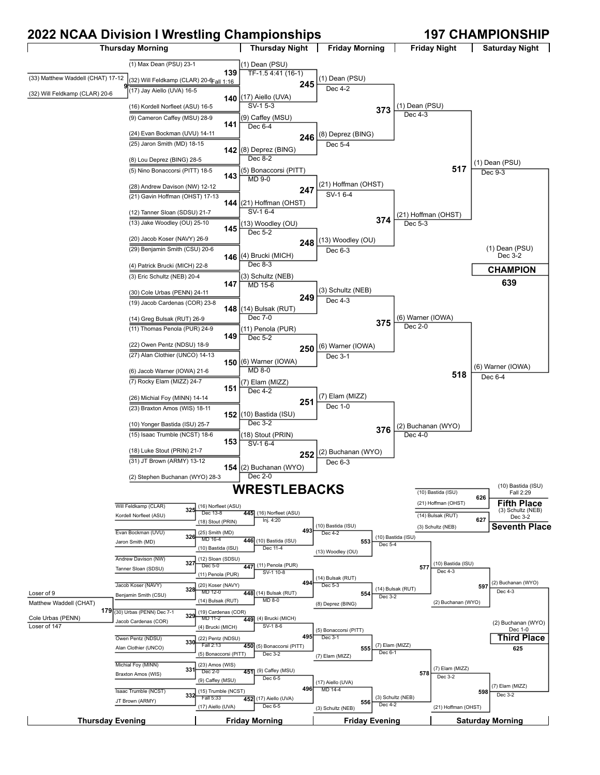